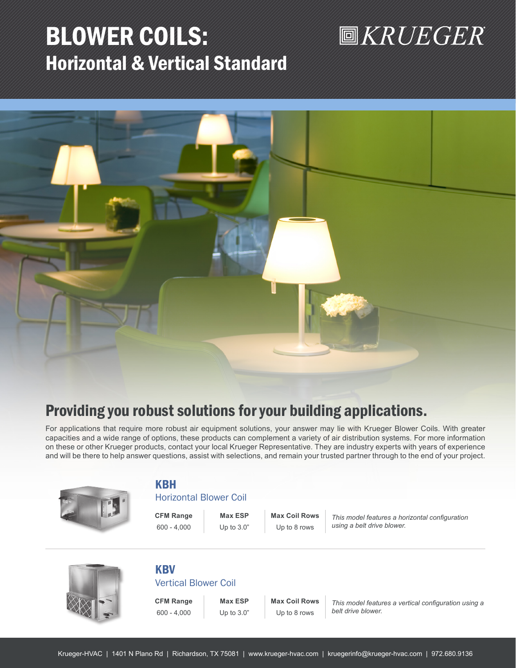## BLOWER COILS: Horizontal & Vertical Standard

# **圖KRUEGER**



## Providing you robust solutions for your building applications.

For applications that require more robust air equipment solutions, your answer may lie with Krueger Blower Coils. With greater capacities and a wide range of options, these products can complement a variety of air distribution systems. For more information on these or other Krueger products, contact your local Krueger Representative. They are industry experts with years of experience and will be there to help answer questions, assist with selections, and remain your trusted partner through to the end of your project.



### KBH

#### Horizontal Blower Coil

**CFM Range Max ESP Max Coil Rows** 600 - 4,000 Up to 3.0" Up to 8 rows

*This model features a horizontal configuration using a belt drive blower.* 



## **KBV**

Vertical Blower Coil

**CFM Range Max ESP Max Coil Rows** 600 - 4,000 Up to 3.0" Up to 8 rows

*This model features a vertical configuration using a belt drive blower.*